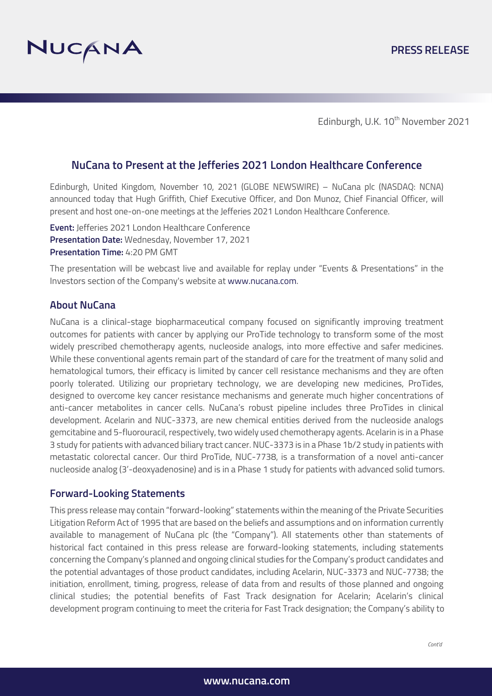

Edinburgh, U.K. 10<sup>th</sup> November 2021

# **NuCana to Present at the Jefferies 2021 London Healthcare Conference**

Edinburgh, United Kingdom, November 10, 2021 (GLOBE NEWSWIRE) – NuCana plc (NASDAQ: NCNA) announced today that Hugh Griffith, Chief Executive Officer, and Don Munoz, Chief Financial Officer, will present and host one-on-one meetings at the Jefferies 2021 London Healthcare Conference.

**Event:** Jefferies 2021 London Healthcare Conference **Presentation Date:** Wednesday, November 17, 2021 **Presentation Time:** 4:20 PM GMT

The presentation will be webcast live and available for replay under "Events & Presentations" in the Investors section of the Company's website at www.nucana.com.

#### **About NuCana**

NuCana is a clinical-stage biopharmaceutical company focused on significantly improving treatment outcomes for patients with cancer by applying our ProTide technology to transform some of the most widely prescribed chemotherapy agents, nucleoside analogs, into more effective and safer medicines. While these conventional agents remain part of the standard of care for the treatment of many solid and hematological tumors, their efficacy is limited by cancer cell resistance mechanisms and they are often poorly tolerated. Utilizing our proprietary technology, we are developing new medicines, ProTides, designed to overcome key cancer resistance mechanisms and generate much higher concentrations of anti-cancer metabolites in cancer cells. NuCana's robust pipeline includes three ProTides in clinical development. Acelarin and NUC-3373, are new chemical entities derived from the nucleoside analogs gemcitabine and 5-fluorouracil, respectively, two widely used chemotherapy agents. Acelarin is in a Phase 3 study for patients with advanced biliary tract cancer. NUC-3373 is in a Phase 1b/2 study in patients with metastatic colorectal cancer. Our third ProTide, NUC-7738, is a transformation of a novel anti-cancer nucleoside analog (3'-deoxyadenosine) and is in a Phase 1 study for patients with advanced solid tumors.

## **Forward-Looking Statements**

This press release may contain "forward-looking" statements within the meaning of the Private Securities Litigation Reform Act of 1995 that are based on the beliefs and assumptions and on information currently available to management of NuCana plc (the "Company"). All statements other than statements of historical fact contained in this press release are forward-looking statements, including statements concerning the Company's planned and ongoing clinical studies for the Company's product candidates and the potential advantages of those product candidates, including Acelarin, NUC-3373 and NUC-7738; the initiation, enrollment, timing, progress, release of data from and results of those planned and ongoing clinical studies; the potential benefits of Fast Track designation for Acelarin; Acelarin's clinical development program continuing to meet the criteria for Fast Track designation; the Company's ability to